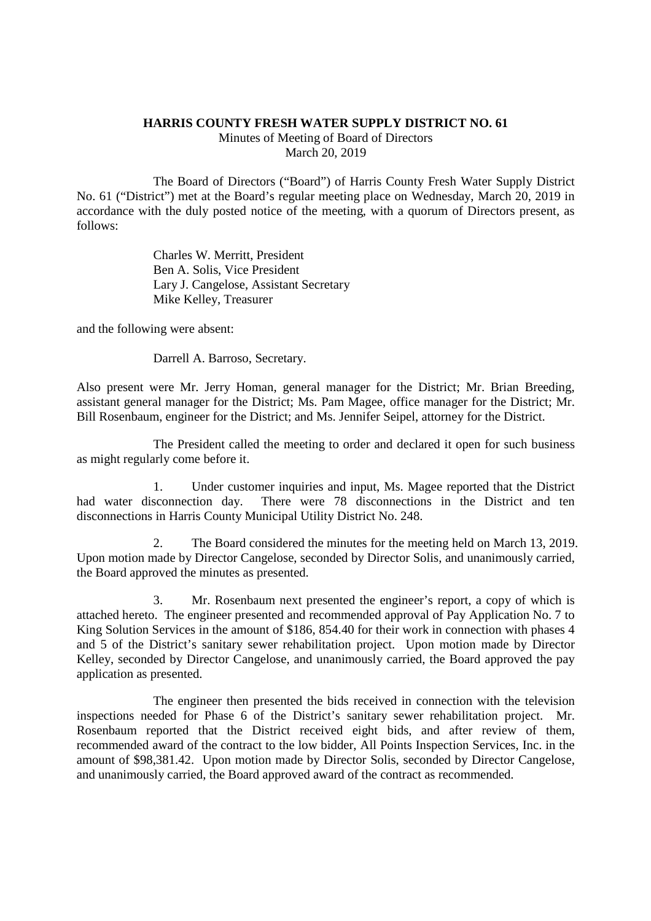## **HARRIS COUNTY FRESH WATER SUPPLY DISTRICT NO. 61**

Minutes of Meeting of Board of Directors March 20, 2019

The Board of Directors ("Board") of Harris County Fresh Water Supply District No. 61 ("District") met at the Board's regular meeting place on Wednesday, March 20, 2019 in accordance with the duly posted notice of the meeting, with a quorum of Directors present, as follows:

> Charles W. Merritt, President Ben A. Solis, Vice President Lary J. Cangelose, Assistant Secretary Mike Kelley, Treasurer

and the following were absent:

Darrell A. Barroso, Secretary.

Also present were Mr. Jerry Homan, general manager for the District; Mr. Brian Breeding, assistant general manager for the District; Ms. Pam Magee, office manager for the District; Mr. Bill Rosenbaum, engineer for the District; and Ms. Jennifer Seipel, attorney for the District.

The President called the meeting to order and declared it open for such business as might regularly come before it.

1. Under customer inquiries and input, Ms. Magee reported that the District had water disconnection day. There were 78 disconnections in the District and ten disconnections in Harris County Municipal Utility District No. 248.

2. The Board considered the minutes for the meeting held on March 13, 2019. Upon motion made by Director Cangelose, seconded by Director Solis, and unanimously carried, the Board approved the minutes as presented.

3. Mr. Rosenbaum next presented the engineer's report, a copy of which is attached hereto. The engineer presented and recommended approval of Pay Application No. 7 to King Solution Services in the amount of \$186, 854.40 for their work in connection with phases 4 and 5 of the District's sanitary sewer rehabilitation project. Upon motion made by Director Kelley, seconded by Director Cangelose, and unanimously carried, the Board approved the pay application as presented.

The engineer then presented the bids received in connection with the television inspections needed for Phase 6 of the District's sanitary sewer rehabilitation project. Mr. Rosenbaum reported that the District received eight bids, and after review of them, recommended award of the contract to the low bidder, All Points Inspection Services, Inc. in the amount of \$98,381.42. Upon motion made by Director Solis, seconded by Director Cangelose, and unanimously carried, the Board approved award of the contract as recommended.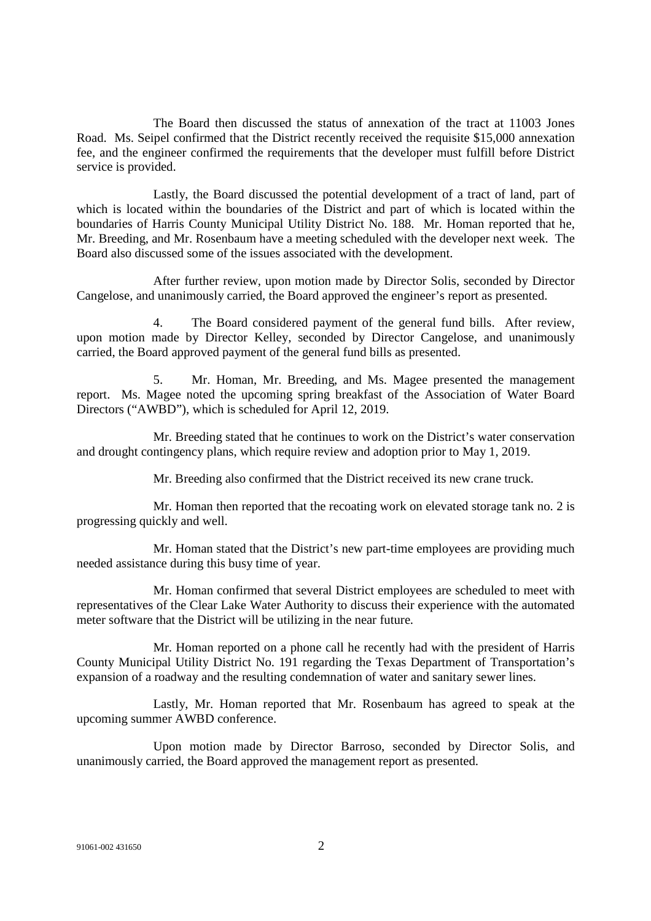The Board then discussed the status of annexation of the tract at 11003 Jones Road. Ms. Seipel confirmed that the District recently received the requisite \$15,000 annexation fee, and the engineer confirmed the requirements that the developer must fulfill before District service is provided.

Lastly, the Board discussed the potential development of a tract of land, part of which is located within the boundaries of the District and part of which is located within the boundaries of Harris County Municipal Utility District No. 188. Mr. Homan reported that he, Mr. Breeding, and Mr. Rosenbaum have a meeting scheduled with the developer next week. The Board also discussed some of the issues associated with the development.

After further review, upon motion made by Director Solis, seconded by Director Cangelose, and unanimously carried, the Board approved the engineer's report as presented.

4. The Board considered payment of the general fund bills. After review, upon motion made by Director Kelley, seconded by Director Cangelose, and unanimously carried, the Board approved payment of the general fund bills as presented.

5. Mr. Homan, Mr. Breeding, and Ms. Magee presented the management report. Ms. Magee noted the upcoming spring breakfast of the Association of Water Board Directors ("AWBD"), which is scheduled for April 12, 2019.

Mr. Breeding stated that he continues to work on the District's water conservation and drought contingency plans, which require review and adoption prior to May 1, 2019.

Mr. Breeding also confirmed that the District received its new crane truck.

Mr. Homan then reported that the recoating work on elevated storage tank no. 2 is progressing quickly and well.

Mr. Homan stated that the District's new part-time employees are providing much needed assistance during this busy time of year.

Mr. Homan confirmed that several District employees are scheduled to meet with representatives of the Clear Lake Water Authority to discuss their experience with the automated meter software that the District will be utilizing in the near future.

Mr. Homan reported on a phone call he recently had with the president of Harris County Municipal Utility District No. 191 regarding the Texas Department of Transportation's expansion of a roadway and the resulting condemnation of water and sanitary sewer lines.

Lastly, Mr. Homan reported that Mr. Rosenbaum has agreed to speak at the upcoming summer AWBD conference.

Upon motion made by Director Barroso, seconded by Director Solis, and unanimously carried, the Board approved the management report as presented.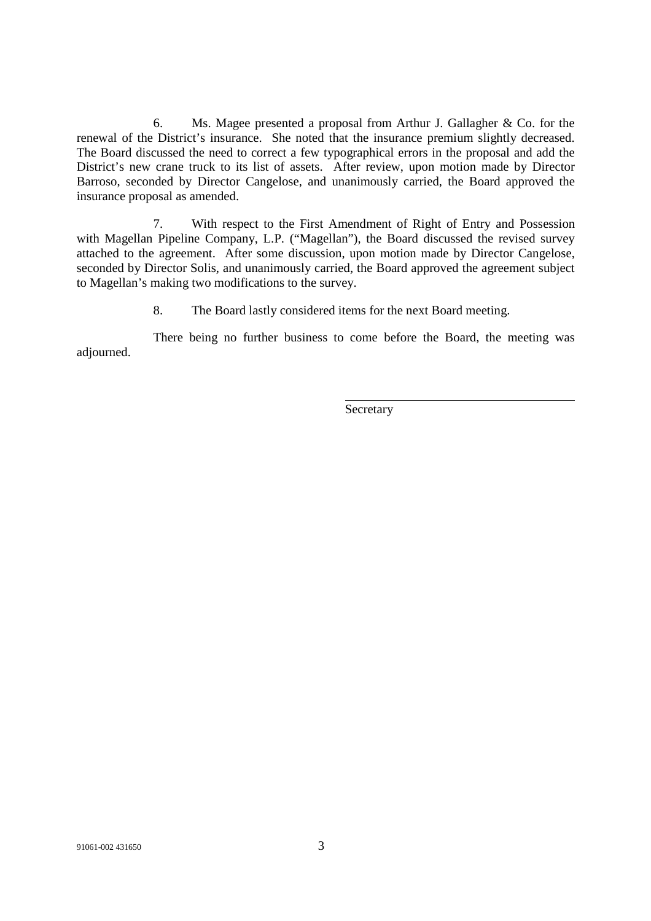6. Ms. Magee presented a proposal from Arthur J. Gallagher & Co. for the renewal of the District's insurance. She noted that the insurance premium slightly decreased. The Board discussed the need to correct a few typographical errors in the proposal and add the District's new crane truck to its list of assets. After review, upon motion made by Director Barroso, seconded by Director Cangelose, and unanimously carried, the Board approved the insurance proposal as amended.

7. With respect to the First Amendment of Right of Entry and Possession with Magellan Pipeline Company, L.P. ("Magellan"), the Board discussed the revised survey attached to the agreement. After some discussion, upon motion made by Director Cangelose, seconded by Director Solis, and unanimously carried, the Board approved the agreement subject to Magellan's making two modifications to the survey.

8. The Board lastly considered items for the next Board meeting.

There being no further business to come before the Board, the meeting was adjourned.

Secretary